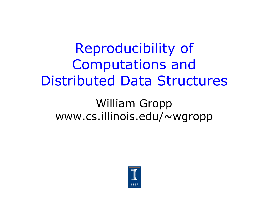## Reproducibility of Computations and Distributed Data Structures

#### William Gropp www.cs.illinois.edu/~wgropp

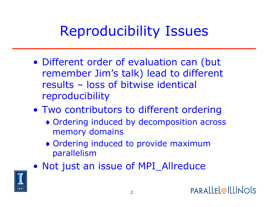## Reproducibility Issues

- Different order of evaluation can (but remember Jim's talk) lead to different results – loss of bitwise identical reproducibility
- Two contributors to different ordering
	- ♦ Ordering induced by decomposition across memory domains
	- ♦ Ordering induced to provide maximum parallelism
- Not just an issue of MPI\_Allreduce

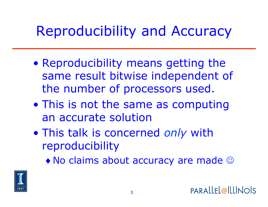## Reproducibility and Accuracy

- Reproducibility means getting the same result bitwise independent of the number of processors used.
- This is not the same as computing an accurate solution
- This talk is concerned *only* with reproducibility
	- $\bullet$  No claims about accuracy are made  $\odot$

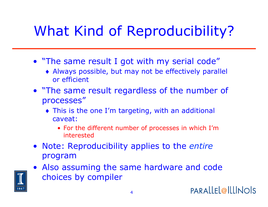# What Kind of Reproducibility?

- "The same result I got with my serial code"
	- ♦ Always possible, but may not be effectively parallel or efficient
- "The same result regardless of the number of processes"
	- ♦ This is the one I'm targeting, with an additional caveat:
		- For the different number of processes in which I'm interested
- Note: Reproducibility applies to the *entire* program
- Also assuming the same hardware and code choices by compiler

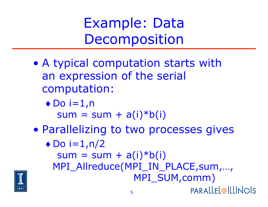Example: Data Decomposition

- A typical computation starts with an expression of the serial computation:
	- $\bullet$  Do i=1,n

 $sum = sum + a(i)*b(i)$ 

• Parallelizing to two processes gives

 $\bullet$  Do i=1,n/2

 $sum = sum + a(i)*b(i)$ MPI\_Allreduce(MPI\_IN\_PLACE,sum,…, MPI\_SUM,comm)

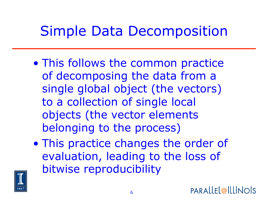## Simple Data Decomposition

- This follows the common practice of decomposing the data from a single global object (the vectors) to a collection of single local objects (the vector elements belonging to the process)
- This practice changes the order of evaluation, leading to the loss of bitwise reproducibility

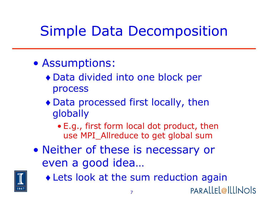# Simple Data Decomposition

- Assumptions:
	- ♦ Data divided into one block per process
	- ♦ Data processed first locally, then globally
		- E.g., first form local dot product, then use MPI Allreduce to get global sum
- Neither of these is necessary or even a good idea…



♦ Lets look at the sum reduction again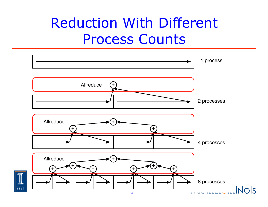## Reduction With Different Process Counts

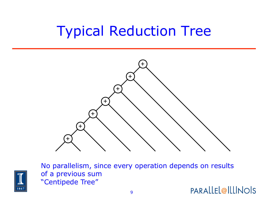## Typical Reduction Tree





No parallelism, since every operation depends on results of a previous sum "Centipede Tree" **PARALLEL@ILLINOIS**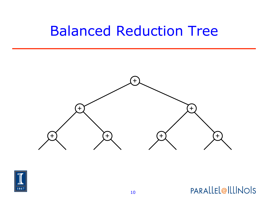### Balanced Reduction Tree



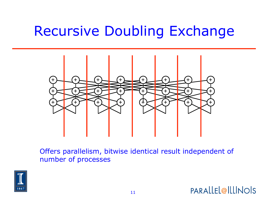## Recursive Doubling Exchange



Offers parallelism, bitwise identical result independent of number of processes

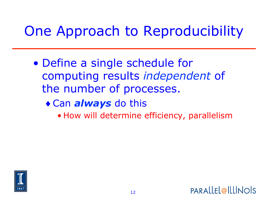## One Approach to Reproducibility

- Define a single schedule for computing results *independent* of the number of processes.
	- ♦ Can *always* do this
		- How will determine efficiency, parallelism

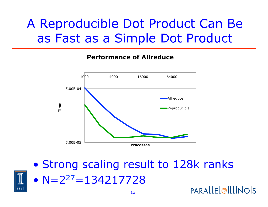#### A Reproducible Dot Product Can Be as Fast as a Simple Dot Product

#### **Performance of Allreduce**





• Strong scaling result to 128k ranks •  $N=2^{27}=134217728$ **PARALLEL@ILLINOIS**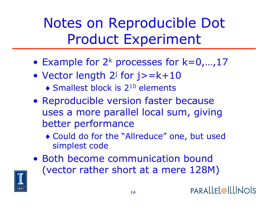Notes on Reproducible Dot Product Experiment

- Example for  $2^k$  processes for  $k=0,...,17$
- Vector length  $2^j$  for  $j$  > =  $k+10$ 
	- $\triangle$  Smallest block is 2<sup>10</sup> elements
- Reproducible version faster because uses a more parallel local sum, giving better performance
	- ♦ Could do for the "Allreduce" one, but used simplest code
- Both become communication bound (vector rather short at a mere 128M)

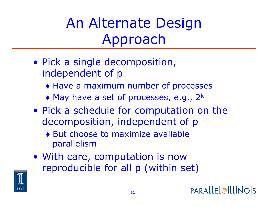An Alternate Design Approach

- Pick a single decomposition, independent of p
	- ♦ Have a maximum number of processes
	- $\bullet$  May have a set of processes, e.g., 2<sup>k</sup>
- Pick a schedule for computation on the decomposition, independent of p
	- ♦ But choose to maximize available parallelism
- With care, computation is now reproducible for all p (within set)

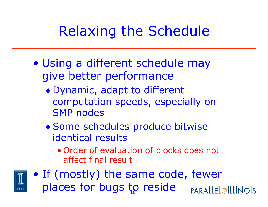## Relaxing the Schedule

- Using a different schedule may give better performance
	- ♦ Dynamic, adapt to different computation speeds, especially on SMP nodes
	- ♦ Some schedules produce bitwise identical results
		- Order of evaluation of blocks does not affect final result



• If (mostly) the same code, fewer places for bugs to reside **PARALLEL@ILLINOIS**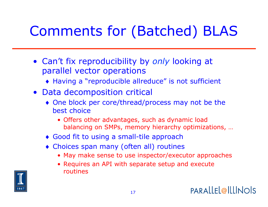# Comments for (Batched) BLAS

- Can't fix reproducibility by *only* looking at parallel vector operations
	- ♦ Having a "reproducible allreduce" is not sufficient
- Data decomposition critical
	- ♦ One block per core/thread/process may not be the best choice
		- Offers other advantages, such as dynamic load balancing on SMPs, memory hierarchy optimizations, …
	- ♦ Good fit to using a small-tile approach
	- ♦ Choices span many (often all) routines
		- May make sense to use inspector/executor approaches
		- Requires an API with separate setup and execute routines

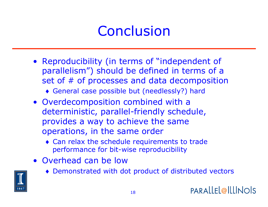## Conclusion

- Reproducibility (in terms of "independent of parallelism") should be defined in terms of a set of # of processes and data decomposition
	- ♦ General case possible but (needlessly?) hard
- Overdecomposition combined with a deterministic, parallel-friendly schedule, provides a way to achieve the same operations, in the same order
	- ♦ Can relax the schedule requirements to trade performance for bit-wise reproducibility
- Overhead can be low
	- ♦ Demonstrated with dot product of distributed vectors